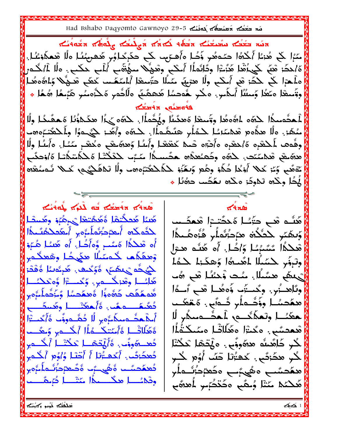Had Bshabo Dagyomto Gawnoyo 29-5 مَلْنُكُمْ 5-29 جَدْءُهَتُه بَدَهُهُمْ وَ حَيْنَهُ وَ بَدَّ الْمَدَّةَ عَلَيْهِ مَنْ الْمَدْيَمَةَ مَنْ الْمَدَّةِ مَ مَبْرًا ﴾ هُزمًا أَكْدُهُ! حَمْدَهُو ذَكُـا ه/ُعـمَى ۖ كَـح حَكَبِمُداوُو هُـعَـومِنُدًا هلَّا هُـعكَونُسُا. هَ/حدَّ: هَنِّ كَيْمَاتْنَا هَنَّتْ! وِكَانُمَاْ! أَسْكَبِ وِهْدُلا سِيُرْقَبِ أَلْمِ حكْبٍ. هِلَا لَمُكْدَر<mark>ٍ،</mark> هِلْحَرَا ۖ لَكُمْ لَكُمْ شَي أَمَكَنِ ۖ وَلَا هَرْمَيْ مَمْلًا حَتَّمَهَمْا ٱلْمَمَّمَسَ كَعَكِ شَيخُلا وَلمشهشا وتَّصطْا دَعْمًا وَصَلَٰلَ ٱمكْسِ. دَخْر ـهُدَسْنَا هَٰتَفَعَّنَ دَلَّاشُورِ هَـذَّدَمْسُرِ هَبَّـمًا شَـعًا \* Armia armis لْمَحْمِىمُا ۖ ذَهَ ۚ لَهُ وَهُمَ وَقُصِعْا هَ مَحْمًا وَهُحُماً ﴾ [ دَهَ صَلَىٰ اللَّهَ عَلَيْهِ الْ ولْا مُئْتَوْ. وَلَا هِدْوَهِ شَدْمَدْنَا لِكَفَلُو هِنُهُدَاْ. كَنْ وَأَهُدَ كَيْحَوُا وِلْكَعَنَّةِ وَه وفَّـه لمَّـلهُوه هَ/حمْدِه ه/أَنْزَاه شَــم كَعْعَمْـا وِ/ُسُـا وَهدهَـمْع مكْعْبِ سَنُـا. ه/سُـا وِلَا ههُمْ شَدْمَنْتُ . لَهُ وحُمْعَدْه حَصُسْدًا سُبُب لَكَنْتُنَا هَلَكَتْتَلَ هَاوَدَنَّب غَفَّى وَّءٌ كَلا أَوْكُل شُكَّوْ وِهُمْ وَيَغَزُوْ لِلْمُلَحَّنَةِهِ وَالْمَلَكَيْهِ، كَلا تُسْتَقْنَ لُمِّط وِكْلَا لَـْاوِكَ; مِكْلَّا بَعْضُب حَمَّلًا ﴾ بكافط بلهك طا بكتاف يلافعه  $7700$ هَٰنئا هُدخُتقا ةَهُدَّتَتْهَا ۞حُرَّوْ وهُسْحًا هَٰلُـه هَــ حَتَّـُـل هَـحَّـَــْهِ! هُـعَـَـــب لِلثَمِكْلِهِ أَعْتَزِدَتُهَلَّيَّهِمِ أَعْظِظْفُلُسُمَّا وَىمَّىًى حَصَّكَة مَرَّحَزُقَهَ فُزَّدَهُمْ لَهُمْ الْمُسَلَّمَةَ أُه قَتْلَكُا هَمَّى وَّهَأَهَا. أَه هَنْنَا هُجَوْ هَـٰذُا مُتَـٰبُـٰا وَٰٖاٰصًا. أَه هَٰنُـٰ هـٰٓوَا وْهِكُلُم كُمْسُلًا هِنُهِكُلْ وْهُعَكُمْ وِلْبِؤُرِ لِكَسُلًا لِمُعْدِدُا وَهِكَـٰ; لَكُـهُ لَـٰهُ لْكَيْݣُهُ يْمَاهُمْ وَكُلْتُ مِنْكُمْ وَهُدًا وَالْمُحْمَدِينَ مَتْرَكْبَاءَ وَالْمُحَمَّدَةِ مَنْ لَّى مِنْ مِنْسَلًا. مُنْتَ وْهَنْنَا هُم شَارَ هَاسُل وقْزِكْسور. وُكُستْرَا وُهِ تَكْسُلُ وِتَلْهَدُونِ. وِكَمِنُو وَوَهُما هَبِ ٱسْوَٰا هُدهَفَكَ حُثُوهُۥ ۚ وُحَعَصَنَا ۖ وُخُصُّلُوبُو ۖ همَّحسًا وذُهُـه/ُرٖ شُـهُ). هُمْكَـب دُهُبِهُـــــوهُبْ. ۞ أهمَدُ اللَّهُ وهُنْدَـــــــــــو لِمَعَنُــا وِتَمَكَّـُــــهِ لَمَكْــــمِيمُرِ لَٰا أَخْلَعْشُــدمكرُّومِ لَٰلا تُخْــدووَّب ۚ أَأَخُــــتْزَا قْدَمَّى وَكُنْزَا وَهَٰلَاتْ الْمَسْكَنُّهُ لَ ةَهَلَاتْهِ وَأَمَّتَكُمُ الْكُمْ وَحَقَّب <del>ۮؙڡ؞ۉؘۅۥ</del>ؙٞڣ؞ۉٞٲ*ٛڸٛ*ٚقڤٵۦؿػ<sup>ؿ</sup>ٵؘؗٵٛڲ؎ؠ لْكُمْ حَاهُنْهُ مَمَّوْفًى وَهُقَا تَكْتُلْمَلْ تَكْتُلْمَ ضُعجَّبَتُ. أَحُد ـُزَنَا أَ أَتَسَا وُاوُم أَكْـمِياً كُبِ هَدَٰنَى ۖ. كَعَتْنَا تَسَ أَوُم كُب كَعكَمَــْمَـــا ۚ هُــُيْـــَّإِب ۚ هُـَـُـعَكِرْحَانُــٰمَلَٰــَٰٓءِمِ همّحسّب ەھُيمّب محَمّدَحُتَـملَه وثلائسا مكسمأا مئشا كرهّس هَٰلِمُكُمْ مَنْتَا وُمِّقُعٍ هَخَذَكَٰٓئِسٍ لِمُعَدَّمَٰتٍ كمنكم لمَهْم وكمُولكة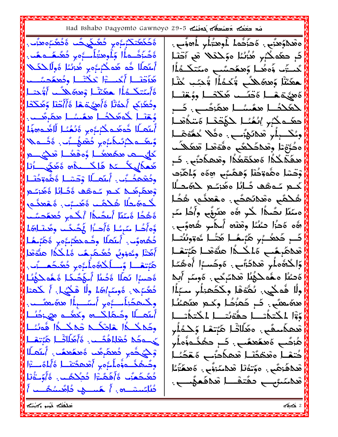Had Bshabo Daqyomto Gawnoyo 29-5 مَنْشَكَة Had Bshabo Daqyomto Gawnoyo 29-5

<u>ٷٞڬػػڎڴۯٷۭۄ</u>ڔڞۘڰؘؠڮػ؊ٷٞڟۘػڔؙۄڡڋؘٮ ةَكْنُكُــداُل وَٱودْتُٰٓامُـــرَّەمِ ۖ دُهُنَّمَــدَمُّت. أَمَنُعَلَّا هُم هُمكُمْ نُومٍ هُرْسُا ةُولَّا لَكُلًّا هَدَّتْسَا أَحُسْتْزَا تَحَكَّسَا وِدُهِمَّدِمَّسَب دَّأَسَّتَكَـدُاْ حَكَّتْنَا وْهِوَ حَكَّبَ أَوُحْتَارَ وحُعَّرَكَمْ أَحَدُثَا \$أَهِيَّ مَمَّا \$أَأَصْلَ وَهَـٰذَهَا ۖ ۇقشا گەقىلادُلى ھقىسُلى ھەرقىت. أَسَّصَلَا خُوصُدكُ بُومِ وَنُمُنَا لَاَهُدوهِ ذَا ۇيغكىمىدۇنىدۇ. ئەنىھىشە ئەشىمىلا كلاسم مؤممكا ؤوقعا شكرهم مُعِمَّلٍ لَا يَمْ هَلْكُ مِلْاهِ ةَمَكِّلِ أَبْل وكُعْدَهُكُرُب. أُعنُكُم وْحَسْطِ وْهُوَوْحُسَار وْهِجُرِهُكُمْ كُلُّمْ شُوهُفْ وَكُلْأَلْمْ وَهُدَيْكُمْ كُوهَ حِلًا هُدْهُبٍ وَهُدِّبٍ وَهُعَدُومٍ ةَهُدًا ةَسَمَّا ٱسصَّدًا ٱلْحُمْدِ دُهِمَّصِيَّت وَْهِ أَكْلِ مَبْرِسًا ۚ أَأَكْرَٰا ۖ يُكَبِّبُ ۖ وِهُنْسَاهَا ۖ دُهُ‰وًب. أَسَّعلًا وشُمكْتُبُوْمِ وَْهَيُسُّا أَهَنْا وِحْوَوْبُ حُعَّكُرِهُبِ وُلِحُدًّا هِتَوْهَا هَّتِمْـَـا وُـــاَكْۋەلْبُوي فُعُبْكُمـــُوب ةَحسرُا بَعلًا ةَحُسُلَ أَجْحَبَكَ لَقَدَحَكِيُنَا دُهُمَ بِهِ . ةُومِمُراهَا ولَّا قَحْبَهَا . أَ كَحِيَا وِكْتُعَجّْنَاكُوبُوا أَسْتَبِيراً مِنْ مِعْنَـبٍ. أَسَّصَلَّا وِصَمَّاكَ وَكَعْدَهُ مِجْهَدَكَ وحَمكُما هَاتْكُمْ حْمْكُمْ! فُونُسًا جُدْهُمْ دُهْلِلْهُمَّبِ. هُأَهُلُلاَثْنَا هَرُتِهْنَا وْحَيْحُوبِ تُعْتَصِّرْهُمْ ةُحْمَّعْمُهُ، أَمَنَّصَلًا وصُهُكُدوْهِ أُمْوِي أَهْدِهِ تَتَنْكُلُّ وَأَمْلَهُ حَيْرًا *حُعْدَهُوَّتُ وَأَهَمَّتْوَا حُجِكْهُت وَأَوْحَدُّلَ* دُىُّاسْتىسى ، أَ خَسىلى دَاھُنىئىھَـــب أَ

ه هُدُوُهنَّى . هُدَّدُه لِمُ لِمِعْتُلُم لِمُعوَّب كَرِ حِعَمِكْرُ و هُزُنُمَا وَوَحِكَمَلاً هُو أَحْسَا لَّدَخَّتَ وَّەھَدا وَهمَّحَسَّبِ مَمَّتَكَــٰهُ1ًا حكَمْتْاْ وَهِهَدْنَبِ وُكَـهُـاُا وُجِبَبِ كُنْـا في التَّقَامِ الْمُتَكَّبُ مُسْتَدَّمَ الْمُقَرَّبَةَ وَالْمُسَامَّةِ مِنْ الْمُسَامَّةِ مِنْ الْمُس للظَّلْاحُــا مِمُسُــا مِمَّنِصُـبٍ. كَـــرِ حعَــمكْرِ إنْهُـُـا حَـهَٰدْـا مَتحدُهْـا ونُكْبِلُر شَدْنَهُنَّبٍ . هِ ثَلا نُحقَّةَهُــا |ەكْۋَةل وقىدگىلىشى ەققەتىل تىتكىلگ ِ هَـفَـٰذَكُمُّا هُ هَكَـٰقَـهُكُمْا ۖ وَ هُـهِـكُمَـٰتَـٰى ۖ وَ حَـٰرٍ وْتّْسْا ەھُەتِئْتَا وُفْقُنُ مِهَا وَالْمُنْفُسَ أكبو عُوهُد مُالًا وهُنصُو لِهُمصاًا هُدْهُم هُدُدُهُمُ. مقْعَدُهِ، هُمَا دمَمَنّا بِحَيْدًا لَكُنّ ۞ه هَنُرَوَّى وأُجَا مَنْزِ ، هُه هُدُا نسُّنُا وقتَنَه أَنكُس هُدَوَّب . كَبِ كَحِمْـــرُبِ هَرُــهُــا مَّتْــا شَوْوِنُتُــا محكرهً من المستقار المحافظ المستقار المستقار إِوَالْحُدُّوماُرِ هُدَدِّئَبِ. وَوصِّبُ! أُوهَّمًا ەَتْتُا مْھُەللۇنُا شْلائېگىي. ەُمِنَّى أَيْلا ولًا فَمكَّىٰ. نُمَّةفَا وكَدِّه;اُرٖ متِّأَا مَعَمَّمَ وَلَا حَمَّوْهُ الْمَحْمَدِ مَتَعَمَّلُ وَوْٓا الكُتكُتِ الْحَقَّة سُلَّا الْكُتكُتِ الْمُحْتَدَّةُ |مْعِكْسِفَ .. وهَٰلاَتْنَا هَرَّتِهْا وُحْدُلُو ھُزگىپ ەَھكَھكىپ. كَبِر حَھُكُوؤُهلُر دُتمْـا ەھْقْتُنْـا ھْھكُتُب ەَمْكُــا ِ مْدَاهَٰ;مَّــى . وَتَوُلْلُ مْدَاسَّـرْفُـى . هُمْشَتُّىمَّا هُدْسَّيْئِي حَقَّنْفْ لِمُحْدَفَعِيَّي بِ

كنابلا بنها المنافض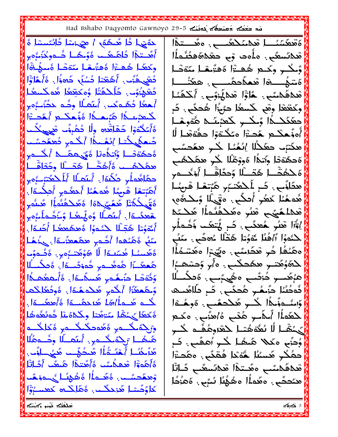Had Bshabo Daqyomto Gawnoyo 29-5

هْ السَّسْنَاءُ السَّرِينَ أَمْ مِنْ مِنْ الْمُسَسَّلَ أَهْــتمْ! دُاهَىعْـــــ ةَوُــطَـــا كُـــوجُدَّرُوير وكعكا هُدْرًا وُقِيَّدْ السَّوْدَا وَسَهْرَةَ ا دُهْيِ هُنُو . أَهُعَتْنَا دُسُلُ دُووُا . وَأَحْارَّا دُهْكِنُوُب. كَلَكْفَتُا وُمكْفِعْا هُمكْنْمَا أَهِجًا دُهُدِيْدٍ. أَسَكِنًا وَدُه حَدَّبَّوْهِر كمعتبدا متبماا ةذمكم أخدثوا ةُأَعَدُّوْا حُفَاتْنُوه ولًا حُمُرُوْبٍ مْحِي كُب تُنْعَظُيْكُمَا إِنْعُنِيْهَا أَيْكُمْ وَحُقِقَصِيْت ةَحِفَّةَصْبَا وَٱتَدَّهُوْلَا ةَوَّرِعِمَكُمْ أَنْكُسُورٍ هِمَكِمًا ﴾ أُهُتْبِ مَعْنَ اللَّهَ وَحَدَاقُ أَ حعَلِقُولُرِ حُكْمَا. أَسَّصَلَا أَلَمْ حَقَّتَ وَي أَهَّتِمْا قُرِيمًا شُوهُمُا أَحْشُوبِ أُدِكُنَّهَا. ةَقَالُكُمْتَا مَّمَّيَىٰٰهَا ةَمَّكْفُفُهُ مَّشْمُر هَعننُـهَا. أَسۡكَـلًا وُهلُعنُـل وُـزَٰحُـملَٰـرُهِ بِـ أَخْوُدَا هَٰذِلًا لِحَدُوا ةَمِهَمِما أَصَدًا. مَعْدُ وَهَنُعْمَا أَشْمِرٍ مِعَمْعِتَنِكَا. حَتَّمَاءُ ةَهَٰىنُا هُنَنَاهَ أَلاَّ هَٰؤُهَٰتَـٰڔُومِ. ةُشُـٰوَب كَعِفَ أَلْ هُوشَــوبِ خُودْنَــوَلَ. وُصِحُّــاًا وَثَقْصًا حَزْنَهُمْ هُنْدُنَهُا . ةُأَبْعَعُهَا | وُحِكَمِعَةُ! أَلَكُم لللهُ هُمَا اللهُ وَحُمَّا لَكُم لَكُتْ هَٰــولُمُ هَٰـُـدِهِـدَ اللَّهُ أَمْ هُ مَٰــوَ اللَّهُ عَالَى اللَّهُ عَالَى اللَّهُ عَالَ هُكَعَكَ كَحُثْمًا مَحْتِمَّدًا وكَلاَهُ مِثَا خُوبُغُوهُا وْرَيْدُنْگُــەپر ةْھُەدْكْنْگــەپر ةْكَاڭــە صَّعُط رَحِدَكُمِي. أَعتَمَــالِ وَحُــومُلَا هَٰزَٰىٰنُا أَهْنَـٰۃُٰاُ هُـٰدُهُّـٮ هُبُىٰـاؤُب. ةَأَهَوْوَا هُدِهُمَنِ وَأَهْتِدْا هَيْفُ أَصَالَ وْهِمُحِسَّبٍ. ةَهُدَالُ أَمْكُمْلُ أَرْجَاءُ مَا وَهُمُو كَاوَحٌتِ الْمُزْدِكْبِ. ةَهَاكْسْ كَعْسَرُوْا

ةَ تَعْطَمَنْنَا شَهْمُكْعُنِبٍ . هُفَّ تَمْ ، *هَٰ*\السَّمَّـبِ. هذَاه وَج حَمْدَ\\$ هَـضُـُـمَ*اْ* وُكْبِ وكُمْ هُدْرًا هُفَيْشًا مُقْدًا أَهْدَفَدْسًى مُسْتَوْلُ هُدَيْنَ وَبِي الْكَفَّسُ |وكففقا وهي لكسعُا حرَّجُ! هُحكَبي. كَرِ حعَكَكُما وُحكْبِ كَعْبَسَكَ هُوهْمَا أُوذُهكُم هُدَّرَا وَعُدَّةِ[ حَقَّةَهُـ] لَٰا هكَتَبِ حَعَكْلًا إِنْهُمْا كُلِّ هِمَجِسَبٍ ەَحمَّةدَا وَتَناْ هُووْمْلَا خُر مەمَكىھَى هَٰكِمُثْــا هَٰتَـــْلَا وَحِدَّاقْــا أَوْكُـــو هدَاؤُبِ . ثَـرِ لَمَـٰـٰهَـٰئِـٰ مَّتِـٰهَـٰ قَرِبُـٰلَ هُدهُمُا كَعُرِ أُنكُمِ . وَقَى اللَّهُ وَسَكَّمَ وَمُحَدِّدُونَ هْدَاهُيُّ هُدُ مِعْدَفُتُماْ هَدَسَّهَ ﴾ إيُّ أَوْ تَعْلَى مُعجَّى ﴾. كَم لُنكَت فُشُملُو أَ حدَّهُ أَ ٱ قَالَ تَوْمَا ۖ هَٰٓتَـٰلَا ۖ ءُوحَّـٰ ۖ . مَنۡب أَهْمُنُكُمْ هُو هُكُرْمٌبِ. وَيُّنْ وَالْمُعْسَدُاً ا َلْكُمُوُهَّتْسِ هِتَفَحِكْسٍ . ه/ُرٍ وَحَسْعَـزُا هزْهَسِ دُرْئَىبِ وَهُيْرَسِي. ةَتَكَسُلًا ثَّەضُمُّا حَنُمُو هُحمُّے . ضَرِ طَاهُـــــه وَامْــوْمَدُا كُـــرِ هَكَــمْــــى وَجِــُـــْهَا لْمَعْمَلَا أَيْذَىبِ هُنْبِ هُاهْنَبٍ. مَكْتُمْ مَّ كُنْتُمَـا لَّا نُعْذِهُمْـا لِكَعْلاوِهُڤُـو لَكُــوٍ أَوْحَنَّى مَكَلًا هُبْشًا لَكُنَّ أَهْقُبَ. كُنَّ حعُكُـرٍ هَـسُنُا ـهُـٓةتَدا هُـقَدًى وهَـدَـَّةَا مْدْفَدْسُبِ مِعْتِدْا مْدْسُعْبِ مَّاتْلَ |مكحصٌ . وهُداً ا دعُهُلًا نُتُبٍ . هَجَزُهُ ا

كمنكم لمَهْم وكمُولكة

**تائیکٹ**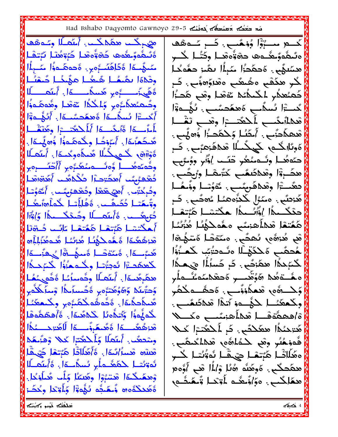Had Bshabo Daqyomto Gawnoyo 29-5

مخبركسا معكككسان أمتعللا وشوشف ەْتَىھُەوْمِعْدى كَرْوْوْمْھَا كَرْوْهُنَا تَرْتَهْا مَمْكُمِيمًا ةَكَافُضُوُّونِ. ةَجْمَعُوذًا مَيْسِلًا <mark>ا</mark> وثلاةا بعُنفُ شَعْبًا مِهْنُدًا حُبْقَنًا ةَفَيْ مَسْبَوْهِ مُسَلَّمَ مَا أَسَّفَ الْ وضُعنُعدَا بَوْهِرٍ وَلِمَحْدًا عَوْمًا وِهُوصَوْاً أَحْسَرْا سُلَّمَــوَا وُهِجَمِسْـوَا. أَنْذُـورْا أُمِّرُكُمْ أَنْ أَيْكُمْكُمْ أَيْلًا حُجَّنَكُمْ وَجَعَنْتُهُ لِ مُحَمَّئُمًا. أَعْوَدُا وِكُوهُدُوْا وُسِهَّدًا. ةَوْأَأَقَ كُمِيكُمُّا مُحَكَّدٍ وَحُمَدًا. أَعْمَطُا دُهْدَرُمِيَّب أُهدَّ: دَـٰأَا دُكْلاهَـب أَهَٰذَاهَـا ودُرِكْتُو . أَمْيُهَقَطَ ودُهْدُوُمُو . أَخْوُسًا وَقُمْسًا دُمُيْفٍ. وَقُلِلُسَا جُدَارُواُبِعُبَارِ دُّبِيْتِ، وَأَسْمَلْه وَحَدْكُمِيهِ وَإِرْآرَا أحكتشا هَبْتمْا هَمَّتمْا عَائِب حُــقِتْا هْزِهُعُدًا ۚ مُعۡدَكُهُـٰلَ هُرۡتُـٰلَ هُـٰدَهُٰذَٰٓآ ٱِلۡنَّا ۖ هَيْنَ وَالْمُسْتَوْسَلَ وَسَلَّمَ فَيَ وَقَالَ وَالْمَسْتَوَالِ وَالْمَسْتَوَالِ كَعِدَهُدْ أَا دُجِّرْتُمْ وَحُدْمُزُوْلُ كَتَرَجْدُا ا هنْ مِحْمَدَا. أَسْكُلًا وَحُمْدَاتُهِ وَحَكَمَتُهُمْ وَحِتَمِكُمْ وَوَكَوْهَتَتَرُومٍ وَكَمِسْأَنِجًا وَسَلَطْتُورِ مُعَذَّدَهُمَّا. ةُدُّدُهُمْكُمَّبُومِ وكُنْعَظُنَّا ِكُوبُووُا وَٱتِدُّوبُل كَذِهُمَا. ۚ وَٱقْعَدُوا ٱلْمَسَوَّلَ هْزِهُعُنَـــهُ | ةَهُنهُروُنَـــهُ | لَاهُتِرَىـــ عُمُّ | ومْحَعَّبٍ. أَعْتَمَالَ وَلَمَحْدَّدَا كَلا وْفَزْعَهُمْ هَسْو هَسرُاسُهَا. هُ/ُهَلَّاتْا هَرَّتَهَا جَهَيْقًا لُّەقِتْمَا جَدَّهُ دَاْبِر تُسَدُّكَا . وَٱسْحَطَّا وْهِمُنْكُنَةُ أَهْتَبُوْا وِهُنَّتُا وَٰٓكُ هُنَّاوَٰٓكُا ۖ. ةُهُدكْهُ٥٥ وُحِمْدُه لُؤُووْۤا وَلَمُوْدَا وكُحَـٰ:

كَـــــــمْ مَـــــرُّوْٓا وُوْهُـب . كَــــر سُــــــــوْهُـف وسُمُّووُمِعُــوه دەۋە قىل وكتُــا لگـــو هسَنَهُم . هَحمَّحَزُا سَرِلًا بِعَيْنَ حَقَّوَيْهَا لْكُمْ هَكُفْمٍ هَقُنْفُمٍ هَقَدَوُهُوَّئِي. كَمَ كَعنُعكُم لمكْمكُمْ عُوْصًا وقْبِ هَٰدُرًا كَمِنْتَزَا نُسَكَّبَ هُجَمَّحَسَّبٍ. نُؤْسُوَةَا هْهَلْأَمِنَّـبِ لَمَحْقَـــْ إِ وَقَــبِ تَغْـــا |هُهكُدَّب . أَمثَنُـا وَحْكَدُ ا وُههُب . |ةَوِتَالِكُــمِ لِكَــِكُما هُـدْفَـزَمَّىِــعِ . كَــرِ حَكَمْهَا وِئَــمِنُعُو خَنَّــب إِذَّارٍ وَوُجَّبِ هكَــرِۊٛا وهْـدْكَعْمَــب كَتَّىـصْـا ورُبِحَــبِ. حعَّىـــتْزا وهْدْكُومِنَىبِ . خَهْوُسْــا وِذُـهُــا هُزدئَبِ. منْئُلِ كُلزُّەھىُل مُەھُبِ. كَر حنْكُــماً إِذَّائُــماً لَـمَكْتَسْــا هَزَتْمْــا هَمَّتمْا شَدْأُه;مَّب معْمَلاهُنَّا هُزُنُنَا هُم هُزهُو، نُهجُم. ممّةصْل هُنتهُــ هَا َهُدمَّبِ هَكَكَهْـلَا هنُـهتُنُبِّ كَعـُزُوُّا الْمَعْرِدِهَ الْمُنْحَى بِهُ جَمَعَ أَهْمَرُهُ الْمَعْرَضَ ەھْسەھُكە ھَۇتَھُىسىر ەَجھْكەمَمُدىنُسمامُر ۇلمىسۇە ئىمگۈزىپ . ةدىھْــەڭگۈ وكَمعَنْـــا حَثَّىـــوز أتنفَّا شَدْئَعَمَـــي. ة/قعقَّةڤــا مْمْلُعنسَى مكــــلا هَٰۃِحَنُمُّا مِعَكِّصَہِ. کَہِ اُلْحَمَّتَہِ کَلا فُومْعُبُر وهُم لِكْمُلْأُومِ هُلْمُكْتَضَى . ومَكَلاَثْمِا مَبْتَـمَـا حَيْثًا نُوَتُسُا كُــر هكَحكُم . هُوهَنُّه هُنُا وْالْمَا هُم أَوُّهِم هِمَلِكُبِ . هَوُٱؤْمِعُـهِ أَوْتَحَـلَ وُّمَعُشُـهِ ۖ

سُلمُنُكُمْ مَهُومٍ وَكَاوُسُكُمْ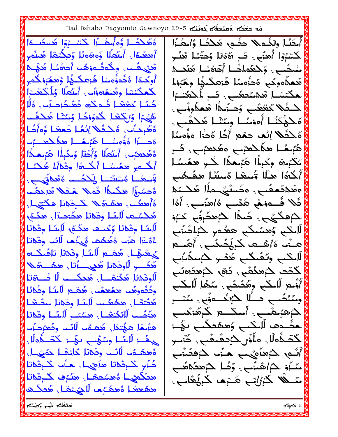Had Bshabo Daqyomto Gawnoyo 29-5 مَنْشَكَة Had Bshabo Daqyomto Gawnoyo 29-5

ةَهَدَدُكُ وَوَأَحِكْرًا كَتَسْرُوْا هَيْجَتْكَا أَهْهَٰـٰهَا ﴾ أَسَٰعلًا وُهِ وَمَا وُحِكْتَهَا هُسْفَيْر هْزُرِيفُ، وِجُدَنُدَوْهُ، أَدْهُـُـا هَٰذَكَــا أُوجُمَةَا ۚ قُدُوْءُمِمُا ۖ فَزَعِكُمِهَا وَمِعَةٍ ذَلِكُمْ بِ كْمِكْتِسْلِ وِمُحِمَّدُورْبٍ. أَينُعِلَل وَأَخْذَبْهِ ا كَسًا حُقَقًا شُمِكُو ضُمُدَدِيَّبٍ. وَلَا هَيْءَا وَرَبِّكْهَا خُدَوِّنِكُمْ وَسَتْبَا هُكُمُتَ ةَهُدِجِنَتِ. ةَحْدَثَلا إِنْمًا ضَعِعْدَا وُهِ أَجْرَأَ ة درًّا وَذُوبِئِنَا هَزَيْمَنَا مِكْكَمْتَرَب ةَهُدِدَبَ. أَعنَٰهَا وَأَحْتَا وَحَدَٰاً هَدَ هَا أكمير معَسْدا أكْثُر أودْأَا مُحْنَا وَّسِعْداً وَّسْتُدا إِبْلاَمُدە وَْهَلاَيُّ ةَحسَّرَوَا مِكْتَجًا ثَمِيًا هَفْلًا مُرَبِّضَت ةَ أَهْتَفْ، هَدَّهُ لا كَرْدُهُمْ كَتِيْهَا. هُكسُك لَاسًا وهْلالا هجّزحآل هكُمّ لَّاسًا وَدْمَانَا وَحْمَدِ مِنْكُمْ لَأَسَّا وَدْمَانَا لمَّمْتَوْلِ هَزَٰبٍ ةَهُدَهُكَ فَيَذَهُبُ لَّائُبٍ وَحْلَاثًا جَهْنَهْمِ أَنْ مَحْشَمِ لَّاسًا وَحْلاَثَا تَاقَسُكُ مِ مَّحَـــــو لَّاوِضْانَا مَّحِيْـــــرُنَا. مِنصَّــــوَّى الْمَ لَّاوِدْهُمْا هُجُنْهْكِلْ. هُدِكْـــبِ لَلْا جُــــقِ تَا ودُدُّەوهُب محمَّمھُب ِ هُدْعِ لَّاسًا وَدُمْنًا مُحَّتْصًا. مح*مَّهًــ*ب لَ*أَخَ*ا وضَ*اتا محُ*مْـا هَزَهُــد لَّائَكْتَعْــل هِمْئَــر لَّاسًــل وَهْلانَّا هِتَنِـمْا هِمُتِنْدَا. هُهِـمَّت لَّائُت وضُمَّدَتُت حَمَّدَ لَلْمَـٰلِ وِسَكَمْبِ لِكَمَالٍ لَكُمْ الْكُمْرِينِ مِنْ الْمَسْرِينِ ةُههَدَ، لِّأَنُـب وَكَانَا كَاتِفْ| حَدَّيْ|. كَنَّهِ كَــْرِثْمْنْا هَلَيْهَا. هِنَّكَ كَــْرِثْمْنْا محكَّمي أَمْسَحِهَا. مِتَّوَفَ كَرْدُلانَا مكمشا ةمكتها للشتقان محكما

أَمكُنُا وَتَذَّديه حَشَمٍ هَٰكَكُمْ وَٱمكُرَٰا ۖ ِكْتَبُوْا أُهزَى ۚ كَٰٓ هَٰٓ قَالَ وَحَتَّمُا هَٰلُو مُمحَّبٍ . وَحْهَماهُــا أَدْهُـُـا هُنَّحــه |شعكَاهوكُم هَدَّةَمسُل هَوَهكَمهُل وحَكَرُومُ هكتشا هُدْسُدهُبِ. كَبِ لَمَحْهُتْ إِ لِحَــقُلا كَتَعْقُب وَحَــتَمِدًا مْعَمَّاوِقُبِ . هَ حَوْكُتُـا أُهوَمُــا وِمَتْـا هَٰحَقَــى . هَ لِأَشَلا إِنَّفَ حَقَمَ أَجُلَ هَجُرًا وَوُوسُلَ |مَبْسُمْا مِمَالِمِيْمِ ومَحِمِيْمِ. كَهِ حَكْتُمِيةَ وَكَبِلًا هَٰبُعِجًا لَحْبِ هِمَسْلًا أَكْدُا هـْلَا وُّمعْا هَمسُّا هفُممُّب ەقداكْھقَىب ، ەكستَيْھەأَا ھَدْسَدْ ثَلا فُــدفِـمُ هُنْــــ هُ/هزَّـــــع. أَهُا كَرْهَكْيُنِ، شَمْا كَرْهَضْرَوْمٍ كَتَرَوْ لَّاحْبِ وَهِسَّىكُبِ هِعْدِ جَاجَاجَنَب هَنُّ هَا هُــمَ كَرِيَّصُكُــمَ. أَهُــم لَّاحْب وِنَقَّىكُب هُدْبِ حَبْسَدَّنَّب كُتْتْ كَرْمَدْهُمْ. ذُهْرٍ كَرْمَدُوسُ |أُؤْمِر لَّامِكُمْ وِهُكُنُّفُمْ. مُنْعُلُ لِّاحْكُمْ ومَنْثَمِ صِلًا جَانَكُوُّى ِ. مَنْسَرِ ِ كَرْهَرُمُعُبِ. أ*مَكْ* مِ كَرِهَٰ;تُمب لْمَشْتَاهَا لَلْكُنْبِ وُهَهُدَكْبِ لَهُنْ ِكْتَـٰدُّەلْل. مَلَّوْرِيك<sub>َي</sub>ْحَقَّىقَى ِ. كَتَب أَنُمِ كَرْهَدَهُ مِنْ هَذَا كَرْهَقْنَ مِ سَنَوْ کےُاهُنَّبِ. وَحُـا کےِمحَکمَب سَمَــالَا كَتَزَرُاتِ هَــْمِعَا كَبِرْكَمِعَاتِ.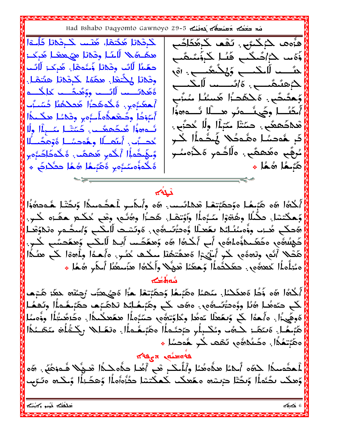Had Bshabo Dagyomto Gawnoyo 29-5 مَلْنُكُمْ 5-29 لْكَرِضْهُلْ هُكُنْهُلْ، هُنْسَتْ لْكَنْزَهُمْ الْمُلْتَقَالَ فَأَهِ كَيْكُتُوسِ. تَفْعَد كَيْهَدَاتُب مدهَّدهُ لا السَّا وذْهَا منهم مثل مَدِحْد: ؤَهُ مَا حَمْ اُحُمْكُمْ وَمُمُلْكُمْ كَرِؤُمُمُهُمْ حمَّمُلْ لِّابٌ وَثَلاثًا وَمُنْعَهْلٍ. هُرِكَ: لِّابٌ وِدْهْلْ لِحُتْهْا. مِحَمِّدْ حَرْدْهْلْ هِتْنَهْا. ∆ٖھنٌھُىب، ة/ئىـــىب لَ*ا*نگىـــو ةْهَٰلائــــىب لَّائــَــب ووُهُبشَـــب كَالْمُـــم وَمِعَْتُبٍ. هَٰٓۮۿؘڡۥؙٛٳ؊ڞٮؙٮ۠ٳۦٮٮۢڹۘ۫ؠ أَهْمَدُومٍ. ذَكَّدَهُدُ أَ مُصَحْمَلُ صُنْدَت أَمكَنُــا وجَينُـــدبُو هــــُلا نُـــدهوُّا أَعْذِدُا وحُنْفُهِدًا أُحَرُّهِ وذَٰهُمَا هَكُمْاً ا مْدْدَهِمَّى . حِنَنْا مَّتِرْاً! وِلَا عُجَّى . نُــدودُا مُبكَمِعَــب. كَيْتَــا مَـــراًا ولَّا دِّ هُوصِبًا وهُـوضُلا هُـِثَـواُ! كُـر حُصِبُونِ. أَيتَصِبُلا وهُوصِبُها وُوْهِضُهُما مُرِفَّى ەھُتھمَّى وَالْأَشْمَرِ ەَكْتُومْسُر وَيَجُبِّدُولُوا أَيْكُوبِ هُتِعِمَّتٍ. وَيُكُوكُلِّكُنُوبِ ةَ كُدَّةُ مَنْتَبُومٍ ۚ ذُكَّبُكُمُ الْمُعُلِّ حَثَّلَاثٌ ﴾ أهَزَمْهَا رَهُهُا \* أَكْثَا ۞ه هَبُعُا هوُحكَبَتْهَا شِمْلَنُــب. ۞ه وأَنكُــب لمُعشَــمندُا وَنحُتْـا حُــددهُوَّا وَحِكْتَسْلَ. حَكْمُلًا وِهُوْدًا مَنْهُمَلًا وَآوٌتِهْل. هُدْ: وْهُنَّى وْهْدِ كُكُمْ حَفَّـزْهِ كُن رَكُحكُم هُــزب وِؤْمِينُـلِّئَمْ بِغَيْحِـلًا وُمِحْرُبُــرَهُورٍ. هُوِنَسْـت لَّاسْكُـب وُاسِخُــوبر مثكوّهُــل كَهْلُلْتُهِ، وكَتَكَــدْفُوهُاللَّهُ، أَبْ أَكْـدَهُ أَ وَهُمَّكَــد أَلِـدْ لَلْـكْبِ وَهِمَّحَسَّبِ كُــرِ. هَصْلا أَلُفٍ وِتَحَوْمٍ لَكُمْ أَسْرَيْرًا وَحَفَّتَهُنَا سَكُتَ خُنُسٍ. وأَحَدُّا وِلَمِحَوَا لَكَن هنُكُا ءِءُ:أُه أَا كَعِنوْهَ بِ. حَعَّلَكُماْ أَ وَحِعَدُا شَيْئًا وِأَكْلَاهُ! مِنَ مَعْلَمُ أَحَمَٰنِ رَهُ هَا ﴾ شەكەك أَكْشًا هَءٍ ذَكًّا هَمْكَكْبًا. سَمْعًا مِحْبُمًا وَحِجَّتِهَا هِزًا هَيْهِتَبْ رُحِبْتُهِ حَمَّرَها لَّحِ حَمَّمُط هُلُا وِوُّەتْتُسْھُّەر. ەھُت كُع وِهَّبُسُّلَّهُ لَهُضَبِّس حَمَّئِسْفُمَاْ وتُعشَّا هُوفَيْ: ﴿ وَأَهْدَا ﴾ وَيَعْمَلُنَا عَمَدًا وِكَاوَتِتَوْهِ حَسَّرُهِ أَلَا مَعْمَدُهُمْ!. وَخَاصَّنَا ا وؤُوسُا هَّبُـمُـا. ەَىنَھَـٰ; كــەُب وِنْكَــبِلُرٖ دَبِّحَتُـماْ! ەهَّبُـمُـماْ!. ەتمَـاللا رِكَـتْمَاْهُ مَنْقَــنُدا ەمَّتْهُدًا. ەخسُلاشَى ئېھ شىر هُەجسًا م x +3 ex cura+3 لْمَحْمِسِمًا لِحَوَّهِ أَسْمَا مِدْهُومُا وأَلَمْكَم مْنِ أَمُنَا حَذُّهِ فِكُمَّا شَـوْبِكَا فُـوْهُنَى. وَه وَهكُت تَحَدَّمُاْ وَيَحْتَلَ حَرْبَشُهِ مَعَقِيكُتَ كَلَمَكْتَشَا حَثَّوْهِ وَأَمِلًا وَمِكْتُوا وَي متوجب كَنْكُمْ دُوْمٍ وْكَيْرُسُكْمْ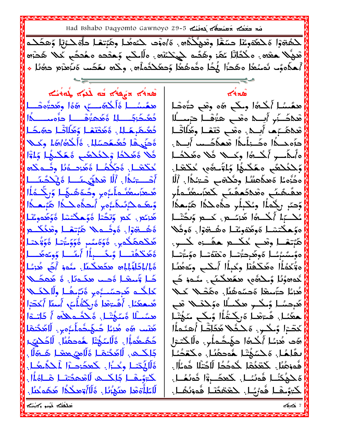Had Bshabo Dagyomto Gawnoyo 29-5 مَلْنُكُمْ 5-29

لحَمُّةوْا هَلِعَقُوطُا حَسِّقًا ومَحِكْذُهِ . هَ/ووْت لكَوهُـا وهُبَتِمْـا حاْقَلْـرُبْلِ وَعَكَلْـو تَعَوُّلًا هَقَةٍ. وَكُدَّاتًا تَكَّزَ وِهَدَّدَ لَمَيْكُنْتُهُ. وَلَا كُبِّ وَهَدَدَ وَهُدَشِّعِ كَملاً هَدْرَه أَهِكُووُب نُومُعُلُ وهُدُرَا لَمُكُلّ وَهُوعُلاً وَحِعَكَتُوكُوهِ . وِكْلَ تَقْضُب وَبَرُوتُو حَوَّلًا ﴾

بحنفه بالم الأمريك المستحفين المحافيك همُسُط ةُأَحُدُّ كِي 166 وهُدَّودُكُ اللَّهُ دُهُمَدُوْمُــــالمُ ةَهُدِهِ زُهْـــــا حِزْهِ مــــــــهُ ا دُهُبِهُرِ هَبِلاً . ةَهُفَتْتَهُا وَهُلَاتْنَا دَهَجُنَا ةُحَزِّيجًا خُعَّىمُحِسَّلَا. ةُأَحَّدُهُ/1⁄6 وحَكَّ ثَلا ةَمَلْكُلْ وَلْمُلْحَمَّبِ ةَهَكْبُهَا وَلَمْوَّا بُنْكُمْلٍ. ةُكِنُّهُما ةُهَرْسَةُنَا وشَـهْكُلُّ أَحْسِبْكُلْ. أَلَّا هُدْيٌ مِنْــا هُكْشُمْــا هُعفزُمعتُما ُمُومِ وَحُمِّهُكُمْ الْإِرْتُحُمْ الْمُسَارِ وُكْدِكْتُكُمُوْمِ أَحَدُّهِ كَلَّا هُرُجَا هُزِيُونَ لَهُوَ وَتَحُبْلُ وَوُحِكْتَنْمَا وَوُهُدُوسُا ةُهُــةوْل: ةُوشُــمْلا هَرَّتْهْــا وقْنُكُــع مُكْمِمُكُورٍ. ۉٞۅؙٶُسُرٍ ۉٞۅؙۻۢٵ ۉؘۅؙۊؙ۠ڂ*ڐ*ٳ ةَهَدَّدُتْكُ وَحَدَّدُ أَمَّكُ أَمَّكُ وَوَعَدَهُكُ أَ ةْ إِلَيْكَاؤُ إِلَيْهِ مِحَمِّكْتِيَا بِمِنْدَوْ أَجِّي هُزْجُا صًا وَّسِعْدا وْحِبْ مِجْدِمَانِ وْ مُعَصَّلًا كاكُ هُرِجسُتُومِ وُتَبَكُّا وِلَاحْكَــا هُمعَكِنَا. أَهُنَوْهَا وَرَكَةُلَيْ أَسْلَأَ أَكْتَرَا مِسَّىلًا ةَسَجُّتْهِ. ةَحْشُمْحَيْنُ أَكَاتِدْا هَٰنۡٮ ۞ه هُٰڹٵ حُنۡهُندُهِ أُخۡوِہٖ ۚ. لَّاهُخُنقَا حَدَّىمُداً . وَلَلْمَحُتَا حُودمُنَا . لَلْحَكِيَ ا <u>كِلكَــمي. لَلمَحْتمْـا وْلَلمى مِحْبا هَــوَلَلْ.</u> ةَلَّلْمُحْتَمَا وَحُدُّلَ. كَعْدَدَ مَلَّا لَمْحَكَّمِعُمَا. كَرْدُوْا جَلِكْلِهِ لْاهْمِعْتَنْهِ الْمَاءُلُلِ. لَلْطَلْقَقْدَ مِنَجِبُرًا . وَلَلْأَوْمِكُمُ ا مَحْمَوكُنَا .

 $79.6$ همَّسُا أَكْـهَٰا مِكَّے هَه مِثْبِ تِتَّهِصْا هُدَكِّر أَيِـد هُبِ هِزُقَـا حَبْصَلًا هْدْهَـــْمِـم أَبِــدْ. هْتَـــ قَتْمْــا وهَٰلَاتْــا دَاهِ حِـدًا هَـدَ أَجَدًا هُجَمَّدَ حَبِ أَبِـدَ. هأمكْسِرٍ أَحْدَهُ! وَحَمَدُ فَلا هَقَلاَطُهِ وَحْكُحْشَى معَكّْدُوا وَاوَّٰٓى وَٰى الْحَكْشَاءِ. ءكُوْما هَمكَاهسُّا وِصُحْوْبٍ كَتْبَعُدُا فَالْهُمْ الْمُلَامِنَ ھقَىقَىبَ ەھْلاَكْمقَىبَ كَلاَمِىمكْسَام وَحِبَرٍ رِكُماً وَحُدْبِلُو حِدَّهِ حَذَا هَبُعِدًا حْكِمَا أَحْكُمُا هَٰنِكُمْ. كَلْمُ وَتَحْتَلَ ٥,َحكَّتْسْهُ هُوهَنّْوَمْهُمْ وَهُدَّةً وَلَى وَفَكَّلَّا كَبْتُهْمَا وَقْبَ خُكْمٍ هَقَمَ: كُمْسٍ. ووٌمسٌمُمُــا وُوهَٰرِدَتُوْتَــا وَحْتَوْتَــا وَوُخُوْتَـا وَقُكُمُلًا وَهُكُمُّلًا وِكُرِمًّا أَمْكُبٍ وَعُوَّهُمُا لَّدەوُلُا وُحِكْشُى مَعْمَدْكُسُّى. مِنْدَوْ كَلِّ هُزِيْلِ حَتَّمِيْهِلِ وَحَسَّوهُلُلِ. وَهُصْلاً كَمِلاً |هُرِحسًا وُحُــٰـرِ هكْــُلا هَوُحْـُــٰلا هُــح حعَنُا. فَـتقدا هَرِكَـتُماُ وَجِكَـ مَكْتَا كَخْتَرَا وُحْكُنِ. هَكْتُلا مُكَانَّا أُهِنَّمَأَا ِهَت هُٰزئُمْ أَحْدُهُ! حَهُنصُمْلُو. ولَّالَكْتَـْتِل ىغَلِمُا. ەَحْسَيُتْا هُوحِفُنُا. وحُمْحُنُا ً هُومُبُل. كَعَ*ّدُهْل* كُوحُكُل لَّاجٌتْلَل هُوءُلُل. هَكَهُكْـٰا فُمنُـٰا. كَعكَـٰبِۊْا ثُمنُعُـا. كَتِوَْحْفَا هُمْ بُـل. حَدْثَقَمَْتَا هُمْوَنُهُـل.

سُلمُلُک ذَبَب اللهُ اللهَ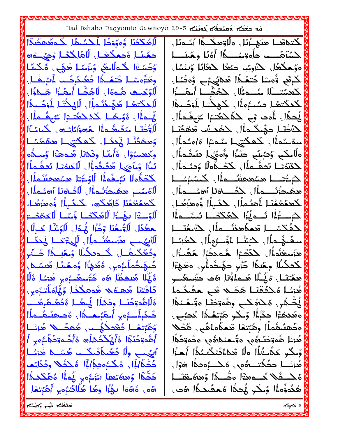Had Bshabo Daqyomto Gawnoyo 29-5 مَنْشَكَة بَاسْتَابَة بَعْضُكُمْ بَاسْتَابَةً كَتكوها محكَمٍ أَمُلَ. وَلَلْقِعِكُمُا أَشْوَيْلَ. لَّاهُكْدُنَا وُوَوْدُا لَمْسُمُا كُمَعُومَدُاً حمَّسُا ةَحمكْعُما. لَاهَلِكْمْا وْحَكْمَهُ لحسْتَرْهَــــب حَلْوَقِسُـــداً أَوْيًا وِهَيْـــا وَكَسَّتْلِ كُدالُلِغَى وَيُرَسَّلِ هُدَى فَكَسَّل ەؤھكىدًا. حَتُوبِّب حَيْحًا حَعَّانًا وَيَسُلَّى وهَٰتُومِيْمِ دُّتِمُ جُلْ دُهُكُرْهُـبِ الْهُرُهُـلْ. لْكُرْهَى وُّەسْل شَتْغُدُّلْ هُدْئِيْدُ ۖ وُوصُّلْ. كَعِمْتِ ٱلْمُدْعَلْلِ حَمْثَهِ ۚ لَا أَحْفُ أَل لَّاوَكُبِيفٍ هُـوَةًا . لَلْمُخْبِلِ أَيْهُـزُا هَـجِرُوْلَ. كَحكْتَهْا مِسْبُوماًا. كَهِنْشَا لَمُوْصُدًا لَّاحِكْتَعْدَا هُجُبْحُثُمْأَلِ. لَلْكُنْدَا لَمُحْتَدِمُّا لُحِدًا. أُود وْمِ حَذَكَتْتِهِ مُؤْمِنًا. لِمُ دارُ. ةَوَ مَطَلِ كَمَلَحْقَتِ وَالسَّرِ مُعَ مَا ال لَّاؤُدُنْدَا مَحْمَعْتُدَاْلِ هُوَوْأَمَّاتِينَ جَهْدِمَةَ! َ جَنُصُلِ حَمْكُــمِلًا . حَمُحتَنِ مَعَمَّنَــل وَمَعْقَتْلِ هُدَلِ. كَمَكْتِهَا مَعْمَدَتَا مِمَّمِنُواْلِ. جُمِعَيْتِهِمْ مُحَمَّرُا وَاوَحَمَاْلِ. وكعساؤل ذَأَمِنًا وثَلاثًا هُدمَنْ أوسلُه دلَّاعكُم وَحَبَّىنَّم حَنَّمَٰ! وأَدَيُّكَ حَنَّدَٰهَا!. تَّنُّا وُءَّوَىٰ هَٰدَهُمْ أَلِّي لَّاتَعِمْدَا تَحِفُّواْ! لكتَفْسًا تُعفُّـمأًا. كُضَـدُّەلًا وَٰحَسُّـمأًا. لِكَتَجَاهُ لَهُ يَقْمِلُهُ لَلْوُجَرْنَا حَسَّحَدَهِ لِلْمَالِ. ِكْرْخُوْتَـــا مْمَّمْحَمْشُـــەلُّا بِ كَمِنْتَجْتُـــا لَّاهُمَّى مِعْمَدُوْشُمْلَا. لَاكْتَوْتَا أَهْشُمْلًا. ههُمدُرُـــولُما. حِدُـــة تا أهمْــولُما. <u>لَاهِمَّعْمُنْا دَاهُكُن، كُنْگَرِمُّا وُّەهزُهُـا،</u> ِكَعِمَّعَمْنَـا لِمَثَـولُا بِ حَكَـراُا وُّومِزُهُـا. لَّاوَٰ؎ٓٓا لِمُسْأَا لَّامُحَدْٓدَا وَّسَا لَّاحُدْهُـۃ لأصـــتُملُا تــَــوهُـُوْا لِحَمَّحَتَــَــا تَــشَـــولُما لِدُكْتَسَا مُعِكَمِنُنَدِمَٰلَ. حَبَّمُتَدا حْمَحُلْ. لَلْقُحْمَا وْحُرّْا هُدًا. لَلْوَعْظُ حَدِلًا. لْلْأَنِيَّبِ مِنْسِمْنُسْمِيْلِ لِيُتَرْسَلِ لِمَكْتَبِدِينَ مِنْ الْمَسْتَمَرِينَ الْمَسْتَمَرِينَ سفَيْءاًا. كِتْبَا اذْكِرْها. كْمُرْسَا وفَعَكُنفُ). كُنْدْدَخْنُلَا وُتَعْيَنِكُمْ كُنُو هِزَمِعِيْدَاْلِ. حَكَدَرَا هُـمِحِدُرُا هَفَمَـزُا. صَّهُمَدُهُما وَ وَمَحْمَدُ وَ مَمَّسُلِ هَٰنِيَكُمْ . لْحَمْحُمُلَا وِهَبَدًا خَبْرٍ حَهَجْمَاُرٍ. وَهَجْبًا ذْيُلًا مُعطَعُبًا هَ دَيَّسطَيْءِ مِنْ الْأَلَّا همَّتْتَبْل: قَهِّبْلًا هَدْمَاؤُثَا هَدْ دَتَّنْسَعْب هُزئا هَكَفَقَا هَكُد مْبِ هِقَبْدَا دَافَتِنْا مَٰهِـمَـٰ لا مُهمكْدًا وَلَمَاهُ أَتـْءُمِن. دَّلَاهُووَحُنْــا وَحْمَلْهُا هُبِعُــا دَّحُعُبِكُبِمَـٰبِ لُضُّكُم ِ. هَٰ حَمُّكَب وِهُوَوَّضُا وَوُّحَمُّكُم ضَدَّبِلَــــَّوِّهِ ٱلصَّبُــمـــدًا. وْحـمسَّــڤـــملَّا ِ مِعۡدَهُـٰٓٓٓا حَـُّبُّاٗا وُحَكُرٖ هَبَّتَـٰمُّـٰهُا ۚ كَحَبَبٍ . وَهَّتِهْمَا مُعْمَلُهُمْ، مُعَضِّلًا مُنْسَا ِ هَدَ*مْشَ*هُماْلِ وَهُبْتَمْلِ شَعَلُهِ عَلَى هَا مَكْلا أَهُودُنَكَا ۚ ۚ أَرۡكَـٰٓ كَمَلَاه ۚ ۚ أَحُـووَدُكُمۡ وَ لَا هُدَىٰٓا هُەوۡحُنُدُوۡهٖ ووُّسۡصُدُوۡهٖ وحُوتُدُاؕ أَبَّىب وِلَّا خُعَّىدَكَّــْتَ هَيِّــدَ هُـزَــُـا وُحكْرِ كَذُبَّةُ أَلْمَا شَمْلَاتَتْكْتَـنُذًا أَحَـٰٓ;ا حَتُّكُابِٱلْ. ةَكْنُومِكُمْ إِلَّا ةَحْثَلا وِتُخْلِّم |هُ:ئَـــا حَـُـكَتـَـــەُّى. هَـكـــرُّەئَــاْ هُوٓا. َحَثُّمَّا وَمِدَهَّتِمِتَا اغْبُومِ لَمِماً فَهَكَدِمًا هَكَــدُكَ كَـــومِتْرَا وَتُـــدُّا وَمِعَهُ مِعْنَـــا هُذُوَاْ وُحُر هُحِدًا هَعفَـدِدًا هَت ِهَهِ . هُهُمْ الْمُزَا وِهَا هَلَاكَتَبُومِ أَهَّبَتَهَا ﴾ كمنكم لمَهْم وكمُولكة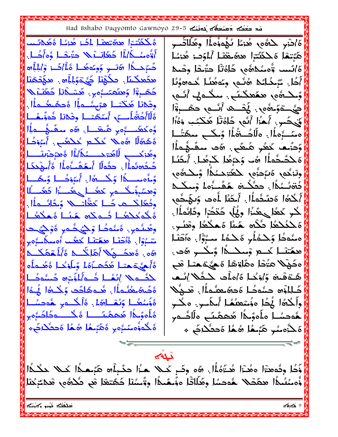Had Bshabo Daqyomto Gawnoyo 29-5 مَنْشَكَة Had Bshabo Daqyomto Gawnoyo 29-5

ةَ كَكَتُنْهَ الحِمَتِهِيْ الْمَدِ هُوَمًا ةَهُلَائِبٍ أَوْْمِسُــكَا/أَا حُعَّاتَــٱ لا حَبَّـصْـل وُه/ُدُــل. دَّعِدِداً وَٱسْرِ وَوِعَوهَدا وَّالَتْ: وَٱلْمَاهِ مدَمكْسًا. حكْوْنَا جَيْجَوَلِلُهِ وَ مِجْحَمْنَا كَشَرَةًا وَمِتَعَمَّدُونِ. مَحْشَـٰاْتَا كَمَّتْتَرَبَّا وثَمْثَا مُتَكَسَا فَهُشُوبُهُا وُحِشُدُواً. دَّلْأَادُةُ أَسبَ أَسْتَعْتِبْ وَذَٰهَا ذُوَّنِهُـٰ ا وْهَكْكَمْسْرُّەمِ هُبْشْسَا. ۞ه مْشَوْسْتْهَاْ ةَهَاهَلًا هُولًا يُمْكُم يُمْحَصَّى. أَجْوَجُا وهُنكَب لَّاهُتِيحَــــنُكِّلُهُ! ةُهْرَضْتَـــا حَدُوثَه أَل. حثَملًا أَحفَكَ زُولًا وَأَجْدَدُا وَْلِأُوسِيلُوا وَكُلُّوا أَجْوَدُهَا وَيَتَهَا وْهِمْبِوْمُكْسِمْ بِمَكْسِمْ بِمِكْسِمْ وَهُمْ يَوْسَمِيْهِ وَسَلَّاهِ وَسَلَّاهُ وَسَلَّاهِ مِنْ ودُعَالِكَـــم حَـــا حَقَّاتَــــه وَحَاتَـــمأل ةَكْمُحْكَمُـا تُــمْحْمَ هُسُـاً ةَحْكَمُـاً ومُسْئَمِر. ةُسْمَطُ وْجْهَدُمِ ةُوْجْهَد مْسْبُوْلِ. ةَٱتْسْلَا مَعَّتْسًا كَعَيْبِ أَوْسِلَاسُوْوِي 6ه . هُ هِڪُمُ لا أُهَّاتُکُ هُ هُ لَٰهُ هُمَکُ هُ دَّاَهِيَّتَهُمَّا مَُدَّهَـزَٰهَا وَلَمْؤَكَّـا ذَهَبَهُ أَمَّـ لِحَقَّــهِ لَا إِنْـُمَــا شَــهِ أَبْلَغْـتِهِ شَـسْهِدُــا ةَصَّوَمُعَنُّدَاً : مُحْدَّهَاكُد وَكُلُّوَا لَمُدَا ةُؤُمُعُكُمْ وَيُصْبَرْهَا . ةُأَكْسَمْ هُوَجِسُمْ ةَأُومُكُل هُهِمَّسُــــا ةَكْــــوجَاجَبُومِ ەڭگەۋەمئىئوم ۋەئېما ھاما ەچكلاكى  $\mathbf{X}$ 

أَدَّاضِ لِكَثَّى هُنْمًا نُهُّدَّوُّهاً وهُكَاتُمْسِ هَّتِمْا مَكْتُتْ اهْمَىتْشَا ٱلْمَوْدِ: هُزْسًا هُ اُنُسب قُومُكُلُوهُ وَاهُتْلَ حَتَّمَطْ وَصْحًا أَكُل تَبْحُلَمًا هُنَّعٍ ومُوَهُدًا خُـوهوُنُا وُٓٮڵ۞ؠ؋ۿؘڡػٮٞڹ؞؞ٮڴٷٵٛڷٞؽ حَيْبَ وَمِنْهُم، إِنَّكَ مِنْ أَنَّــمٍ حَمّْــرِوْا يَّنْ هُبْكُمْ أَلْفَةَ أَمَّاهُ مَكْبُبٍ وَذَٰا ا وَمَتَّبُوا أَنْ وَلَاكُتْتُوا الْمُكْتَبِي مِنْقَتُنَا ا أَوْحَزُتُهَا كَاتُكُوا الْمُتَكَبِينَ الْأَحَا الْمَتَّاثُمُ مَا أَلَا هَكْخُجْفَاْ هُبَ وَجَهْدَ كَرِهُـا. أَيْضُلْ وتَبْكُم وَيَرْجُوهِ لِحَفَّتِهِ مَثَلاً وَعَلَيْهِم أَدُةسُمُلُ. حثَكُــة هَفَــزُّه، وَسكــد |أَلْكَمُا هَصَدَّهُا أَ. أَلَمَّنُا لِمُحَد وَنَهَنَّفَ لْمَعْلَى مِكْنَا وَلَيْلَ صَنْتَمِ اسْتَمْرِ لَكُمْ بَكْرَ ەَكْكْتْݣَا ئْكُرە ھَىلا ەَھْكْتْدَا وْتْتْلُو. ەمنُەكْا وُݣْمُلُو ەَݣْمُهْ مىبْرْا. ەَتْصْل همّتك كم وسلمًا وُكب هُ -. وكَوْلًا هَبُوْدًا وَهَارَتُهُا وَحَقَّ عَصَدًا مَّعَ كَتْوْهَةُ وَ*ا*ٰوْكُمْ وَاٰهِ كُلْمَا كَلْشَكَا إِنْـُـِّ كَـالمُوْه حِسْمَكُـا هَجهُ حِشَـمأَا. شَـمْلًا وأَكْدُّا لُمُكْا هِ مُتَعْنُعُا أَيْدُبِ. مَكْبِ ـفُوحسُــا ولَموْبِـداًا هُـْهِـمُبِّــهِ ولَاخْــومِ ەَݣُەسُر ھَبُعْلَ ھُعْلَ ەَحثَلاقْ \*

فَطُ وِثَوهتَرَا وَهُدًا هُـتَوَٰهُمُا ۖ. وَه وَكَـرٍ حُــلا هـتُرا حكَـبِلُو هَبُــهـدُا حَــلا حكـدُا .<br>وَْمسُلُمُّا مصَّصْلا ـهُمص*نُ*ا ومَكْلاَتْا موْجَمْحا*ْا* ووُّحسُنَا حَمَّتعْا مْع حُكْمُوهِ مَحاجِّكْنَا

كافتك آوب وكمنكم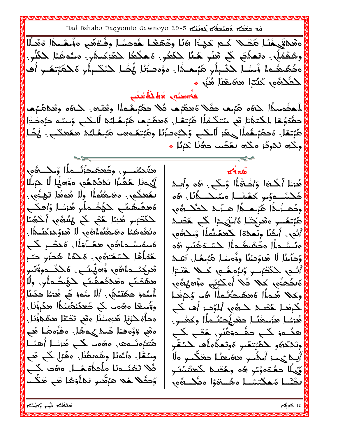

ەَھفَىقَىنَى كَهُشَـْملَٰرٖ هُـٰٓئـٰا وُٱڡكَـٰـ َكَكّْتَبِ هُنْءُ هُتَى لَّى عُشْهُو لِّكُمْ الْمَحْمَدُ ەنُھُەھُىُا ەھَىھُنُّمَاشُى لَّا شَاوَّىدىنُكْمَا. ەُمەئىشەلمۇە ھەئۇلما. ەَجىم كى هَدَٰاُهَا لِمُتَمَّتَوُّهِ. هَكُمَّا هَدُّرِ حَبِّ ەدىجىئىسملەۋە دۆمنى ئىكىسى ئىككىسى ئۆتكىر ھھَتَىبُ ەھْك*ادُھھَتَى حَكْمَتُ*ەلُمِ. ولُ*ّا* أَمنُووْ حَهَّنَكُلَّ . أَلَّا منُووْ کَی هُزِیْلِ حَکْمُلُل وِتَسِعْلِ دَهُوبِ ۖ كَيْ خُمْتُنَعُسُكُمُ الْمَحَرِّدُكُلُّ. ەداّة كۇبْل ھُزەمْىُل ەھْع تْتْسْل ھھَلاَوْتُلْ. ەتىم تۇەھتا ئىمكىمىگا، ەقتۇەغا شى هُتْتُرُونُــوهـ. وهُوب كُـــح هُزَيـُــل أُهيُــل وِسَغْاً. دَائْدَنَا وِهُدىعُنَا. دَفَعًا كَے هُے ثُلا تَتَعَمُّــدَنَا مِلَاحِذٌة هُــا. ه6ْت كُــح وَحثُلًا هُلا عَزْتُنبر ثَمْلُوْهَا مْعِ مْتَكْت

هُذِبًا أَيْحُدُّا وَٰاحُـٰتُهَٰاْ ؤَمحُـبٍ. ۞ه وأَبِـهِ كَكْشَــدَوِّىرِ كَمَّسُــل مِنْىكـــدُّلُل. 6ه وحُم زُماً هَرُمِهاً مِنَ مِ لِحَكْمِ وَهُ هَبْتُمُبِ وَهُدِجُنَّا وَٱسْرَحِ الْكُلِّ هَدْكُمْ أَلَّهِ. أَمَطُّا وِتَعَمَّةَا كَعَمَّسُوَاْ وَحَكْثُوهِ ەئىشـەلم مكھُىھْـەلم كىئــةھُئىر ھە أَوَحِلَمْا لَا هَرَوَحَمْا وَذُومُا هَبُمْاً. آَسْط أئمي لمكترَسو وَبرْهِمُو كلا هترا كَانْتُحْتَوْمِ كَلَّلَا أُوتُكُرْبُعِ وَوْقِعَهُمْ وَوَ وكَلا هُـداً أَهْمَعْصَرُنُـداً هُـد وَّحَرُهُـا كْرِهُـا هُتْسِـدْ كَــرَهُى ٱلْمَوْتِ: أَفْ كَبِ هُزئُــا هزَمعكُــا حَشْرِكُحِنْتُــه أَا وِكَعُـــوِ. هَنُـه; كَـــ حَقَّــه;مُنُرٍ. جَمْـــ كَــِ ولكلكو لمكَبْتَعْسِ هُوتَعَكَّاهَ لَمَسْقُو أَبِيهِ رَبِيبٍ أَسِكُسِ مِدةَ مِثْلِ حَقَنُكُسِ وَلَٰا وَّلُ الْمُحَدَّدِوُمُو هُو وَحَمْصُلُ لَكُمْتُنْسُلُو بِمَثْطِ هَـمَكْتِسْطِ مِعْصَةِوْلِ مِثْكُـمِهِ